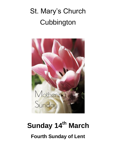# St. Mary's Church **Cubbington**



# **Sunday 14th March Fourth Sunday of Lent**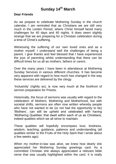### **Sunday 14th March**

#### **Dear Friends**

As we prepare to celebrate Mothering Sunday in the church calendar, I am reminded that as Christians we are still very much in the Lenten Period, where Christ himself faced many challenges for 40 days and 40 nights. It does seem slightly strange that we are preparing for a Christian celebration during a time of Christ's suffering.

Witnessing the suffering of our own loved ones and as a mother myself, I understand well the challenges of being a parent. I give thanks and feel blessed that I have experienced the joys of parenting whilst understanding that there can be difficult times for us all as mothers, fathers or carers.

Over the many years I have been in attendance at Mothering Sunday Services in various different churches. It has become very apparent with regard to how much has changed in the way these services are delivered by the clergy.

'Inclusivity' (rightly so), is now very much at the forefront of sermon preparation for Priests.

Historically, the focus of sermons was usually with regard to the celebration of Mothers, Mothering and Motherhood, but with societal shifts, sermons are often now written whereby people who have not wanted to be (or not had the opportunity to be) 'Mothers', can still be upheld and celebrated with having 'Mothering Qualities' that dwell within each of us as Christians, indeed qualities which we all strive to maintain.

These qualities will hopefully encompass love, kindness, wisdom, teaching, guidance, patience and understanding (all qualities similar to the Fruits of the Holy Spirit that I wrote about a few weeks ago).

When my mother-in-law was alive, we knew how dearly she appreciated her Mothering Sunday greetings card. As a committed Christian she always appreciated a relevant bible verse that was usually highlighted within the card. It is really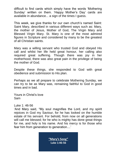difficult to find cards which simply have the words 'Mothering Sunday' written on them. 'Happy Mother's Day' cards are available in abundance... a sign of the times I guess.

This week, we give thanks for our own church's named Saint: Saint Mary, described in various different ways such as: Mary, the mother of Jesus, Mother of God, The Virgin Mary and Blessed Virgin Mary. St. Mary is one of the most admired figures in Scripture and considered by many to be the greatest of all Christian saints.

Mary was a willing servant who trusted God and obeyed His call and whilst her life held great honour, her calling also required great suffering. Though there was joy in her motherhood, there was also great pain in the privilege of being the mother of God.

Despite these things, she responded to God with great obedience and submission to His plan.

Perhaps as we all prepare to celebrate Mothering Sunday, we can try to be as Mary was, remaining faithful to God in good times and in bad.

Yours in Christ's love Sam

Luke 1: 46-56

'And Mary said, "My soul magnifies the Lord, and my spirit rejoices in God my Saviour, for he has looked on the humble estate of his servant. For behold, from now on all generations will call me blessed; for he who is mighty has done great things for me, and holy is his name. And his mercy is for those who fear him from generation to generation....'

> "Mary's Song" Luke 1:46-56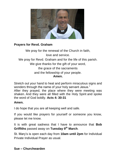

#### **Prayers for Revd. Graham**

We pray for the renewal of the Church in faith, love and service. We pray for Revd. Graham and for the life of this parish. We give thanks for the gift of your word, the grace of the sacraments and the fellowship of your people. **Amen.**

Stretch out your hand to heal and perform miraculous signs and wonders through the name of your holy servant Jesus."

After they prayed, the place where they were meeting was shaken. And they were all filled with the Holy Spirit and spoke the word of God boldly. **Acts 4: 30-31**

#### **Amen.**

I do hope that you are all keeping well and safe.

If you would like prayers for yourself or someone you know, please let me know.

It is with great sadness that I have to announce that **Bob Griffiths** passed away on **Tuesday 9th March**.

St. Mary's is open each day from **10am until 2pm** for Individual Private Individual Prayer as usual.

#### **Sue – Churchwarden**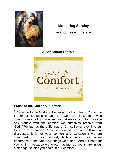

**Mothering Sunday and our readings are**

**2 Corinthians 1: 3-7**



### **Praise to the God of All Comfort**

**<sup>3</sup>** Praise be to the God and Father of our Lord Jesus Christ, the Father of compassion and the God of all comfort, **<sup>4</sup>** who comforts us in all our troubles, so that we can comfort those in any trouble with the comfort we ourselves receive from God. **<sup>5</sup>** For just as the sufferings of Christ flower over into our lives, so also through Christ our comfort overflows. **6** If we are distressed, it is for your comfort and salvation; if we are comforted, it is for your comfort, which produces in you patient endurance of the same sufferings we suffer. **<sup>7</sup>** And our hope for you is firm, because we know that just as you share in our sufferings, so also you share in our comfort.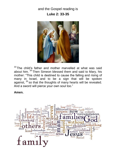and the Gospel reading is **Luke 2: 33-35**



 $33$  The child's father and mother marvelled at what was said about him. <sup>34</sup> Then Simeon blessed them and said to Mary, his mother: "This child is destined to cause the falling and rising of many in Israel, and to be a sign that will be spoken against, <sup>35</sup> so that the thoughts of many hearts will be revealed. And a sword will pierce your own soul too."

**Amen.**

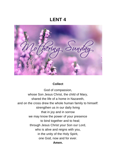## **LENT 4**

Jund

#### **Collect**

God of compassion, whose Son Jesus Christ, the child of Mary, shared the life of a home in Nazareth, and on the cross drew the whole human family to himself: strengthen us in our daily living that in joy and in sorrow we may know the power of your presence to bind together and to heal; through Jesus Christ your Son our Lord, who is alive and reigns with you, in the unity of the Holy Spirit, one God, now and for ever. **Amen.**